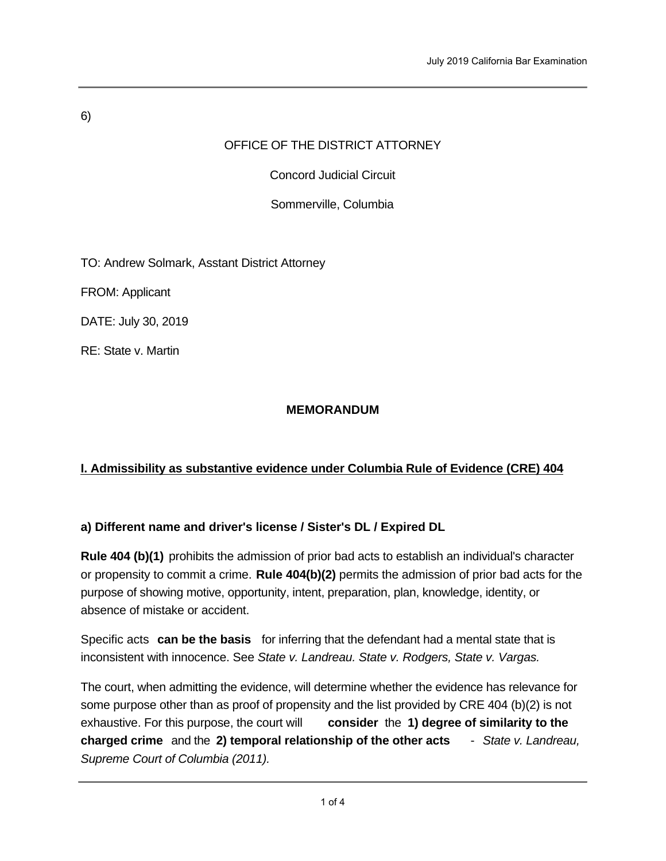# 6)

# OFFICE OF THE DISTRICT ATTORNEY

Concord Judicial Circuit

Sommerville, Columbia

TO: Andrew Solmark, Asstant District Attorney

FROM: Applicant

DATE: July 30, 2019

RE: State v. Martin

## **MEMORANDUM**

# **I. Admissibility as substantive evidence under Columbia Rule of Evidence (CRE) 404**

# **a) Different name and driver's license / Sister's DL / Expired DL**

**Rule 404 (b)(1)** prohibits the admission of prior bad acts to establish an individual's character or propensity to commit a crime. **Rule 404(b)(2)** permits the admission of prior bad acts for the purpose of showing motive, opportunity, intent, preparation, plan, knowledge, identity, or absence of mistake or accident.

Specific acts **can be the basis** for inferring that the defendant had a mental state that is inconsistent with innocence. See *State v. Landreau. State v. Rodgers, State v. Vargas.* 

The court, when admitting the evidence, will determine whether the evidence has relevance for some purpose other than as proof of propensity and the list provided by CRE 404 (b)(2) is not exhaustive. For this purpose, the court will **consider** the **1) degree of similarity to the charged crime** and the **2) temporal relationship of the other acts** - *State v. Landreau, Supreme Court of Columbia (2011).*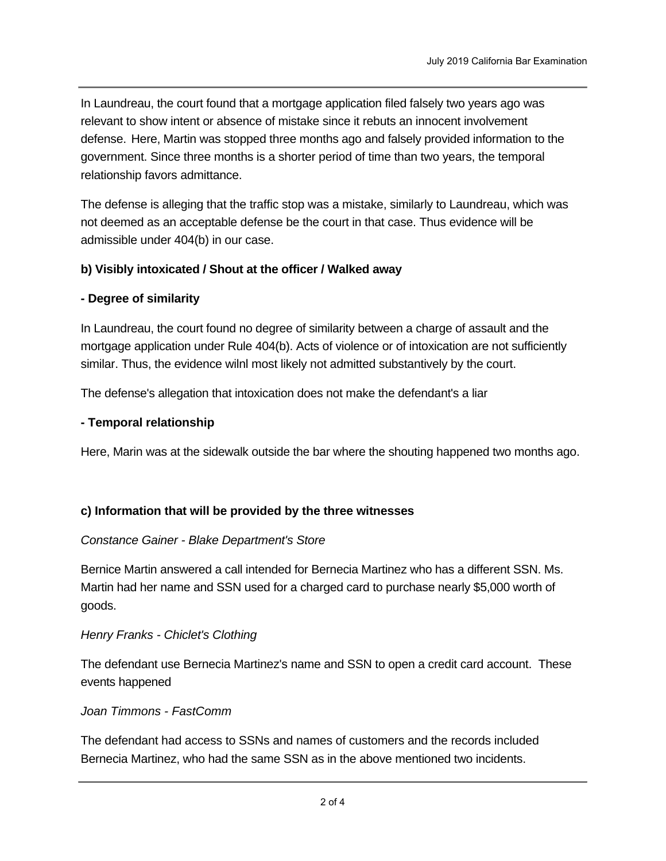In Laundreau, the court found that a mortgage application filed falsely two years ago was relevant to show intent or absence of mistake since it rebuts an innocent involvement defense. Here, Martin was stopped three months ago and falsely provided information to the government. Since three months is a shorter period of time than two years, the temporal relationship favors admittance.

The defense is alleging that the traffic stop was a mistake, similarly to Laundreau, which was not deemed as an acceptable defense be the court in that case. Thus evidence will be admissible under 404(b) in our case.

## **b) Visibly intoxicated / Shout at the officer / Walked away**

### **- Degree of similarity**

In Laundreau, the court found no degree of similarity between a charge of assault and the mortgage application under Rule 404(b). Acts of violence or of intoxication are not sufficiently similar. Thus, the evidence wilnl most likely not admitted substantively by the court.

The defense's allegation that intoxication does not make the defendant's a liar

### **- Temporal relationship**

Here, Marin was at the sidewalk outside the bar where the shouting happened two months ago.

### **c) Information that will be provided by the three witnesses**

#### *Constance Gainer - Blake Department's Store*

Bernice Martin answered a call intended for Bernecia Martinez who has a different SSN. Ms. Martin had her name and SSN used for a charged card to purchase nearly \$5,000 worth of goods.

#### *Henry Franks - Chiclet's Clothing*

The defendant use Bernecia Martinez's name and SSN to open a credit card account. These events happened

#### *Joan Timmons - FastComm*

The defendant had access to SSNs and names of customers and the records included Bernecia Martinez, who had the same SSN as in the above mentioned two incidents.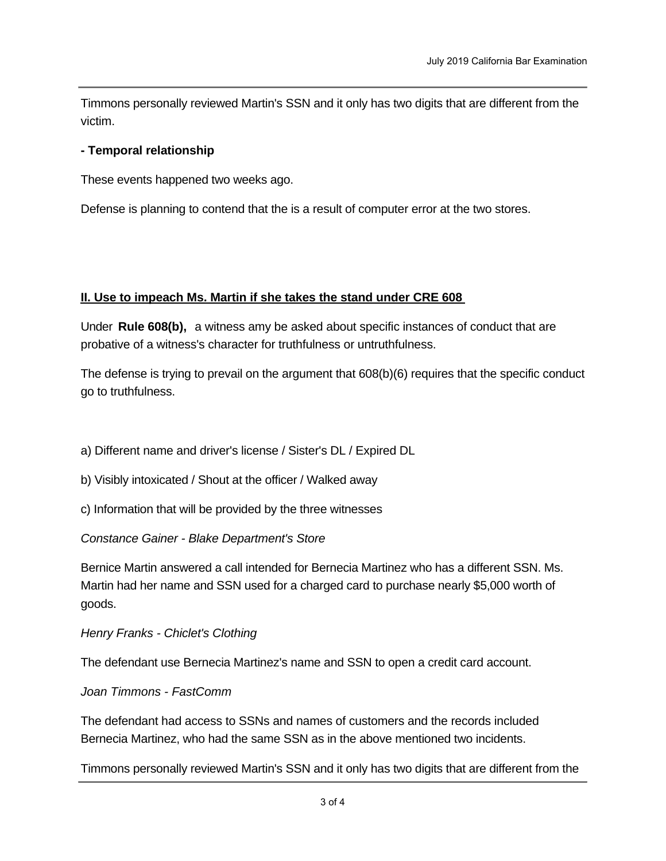Timmons personally reviewed Martin's SSN and it only has two digits that are different from the victim.

### **- Temporal relationship**

These events happened two weeks ago.

Defense is planning to contend that the is a result of computer error at the two stores.

### **II. Use to impeach Ms. Martin if she takes the stand under CRE 608**

Under **Rule 608(b),** a witness amy be asked about specific instances of conduct that are probative of a witness's character for truthfulness or untruthfulness.

The defense is trying to prevail on the argument that 608(b)(6) requires that the specific conduct go to truthfulness.

a) Different name and driver's license / Sister's DL / Expired DL

b) Visibly intoxicated / Shout at the officer / Walked away

c) Information that will be provided by the three witnesses

*Constance Gainer - Blake Department's Store* 

Bernice Martin answered a call intended for Bernecia Martinez who has a different SSN. Ms. Martin had her name and SSN used for a charged card to purchase nearly \$5,000 worth of goods.

*Henry Franks - Chiclet's Clothing*

The defendant use Bernecia Martinez's name and SSN to open a credit card account.

*Joan Timmons - FastComm*

victim

The defendant had access to SSNs and names of customers and the records included Bernecia Martinez, who had the same SSN as in the above mentioned two incidents.

Timmons personally reviewed Martin's SSN and it only has two digits that are different from the